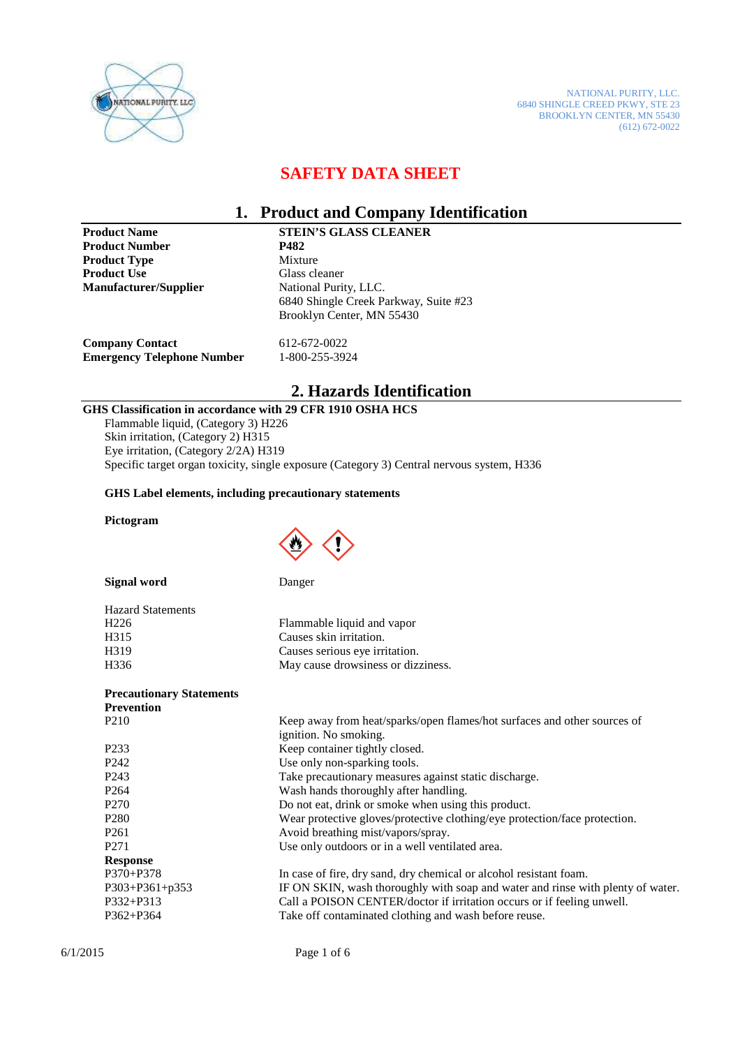

NATIONAL PURITY, LLC. 6840 SHINGLE CREED PKWY, STE 23 BROOKLYN CENTER, MN 55430 (612) 672-0022

## **SAFETY DATA SHEET**

#### **1. Product and Company Identification**

**Product Number 5 8482<br>Product Type 6 8482 Mixture Product Type Product Use Class cleaner<br>
Manufacturer/Supplier**Mational Purity, LLC. **Manufacturer/Supplier** 

**Product Name STEIN'S GLASS CLEANER<br>
Product Number P482** 6840 Shingle Creek Parkway, Suite #23 Brooklyn Center, MN 55430

**Company Contact** 612-672-0022<br> **Emergency Telephone Number** 1-800-255-3924 **Emergency Telephone Number** 

## **2. Hazards Identification**

#### **GHS Classification in accordance with 29 CFR 1910 OSHA HCS**

Flammable liquid, (Category 3) H226 Skin irritation, (Category 2) H315 Eye irritation, (Category 2/2A) H319 Specific target organ toxicity, single exposure (Category 3) Central nervous system, H336

#### **GHS Label elements, including precautionary statements**

#### **Pictogram**



| <b>Signal word</b> |  |
|--------------------|--|
|--------------------|--|

**Danger** 

| <b>Hazard Statements</b> |                                    |
|--------------------------|------------------------------------|
| H <sub>226</sub>         | Flammable liquid and vapor         |
| H315                     | Causes skin irritation.            |
| H319                     | Causes serious eye irritation.     |
| H336                     | May cause drowsiness or dizziness. |

#### **Precautionary Statements**

| <b>Prevention</b> |                                                                                 |
|-------------------|---------------------------------------------------------------------------------|
| P <sub>2</sub> 10 | Keep away from heat/sparks/open flames/hot surfaces and other sources of        |
|                   | ignition. No smoking.                                                           |
| P <sub>2</sub> 33 | Keep container tightly closed.                                                  |
| P <sub>242</sub>  | Use only non-sparking tools.                                                    |
| P <sub>243</sub>  | Take precautionary measures against static discharge.                           |
| P <sub>264</sub>  | Wash hands thoroughly after handling.                                           |
| P <sub>270</sub>  | Do not eat, drink or smoke when using this product.                             |
| P <sub>280</sub>  | Wear protective gloves/protective clothing/eye protection/face protection.      |
| P <sub>261</sub>  | Avoid breathing mist/vapors/spray.                                              |
| P <sub>271</sub>  | Use only outdoors or in a well ventilated area.                                 |
| <b>Response</b>   |                                                                                 |
| $P370 + P378$     | In case of fire, dry sand, dry chemical or alcohol resistant foam.              |
| P303+P361+p353    | IF ON SKIN, wash thoroughly with soap and water and rinse with plenty of water. |
| $P332 + P313$     | Call a POISON CENTER/doctor if irritation occurs or if feeling unwell.          |
| $P362 + P364$     | Take off contaminated clothing and wash before reuse.                           |
|                   |                                                                                 |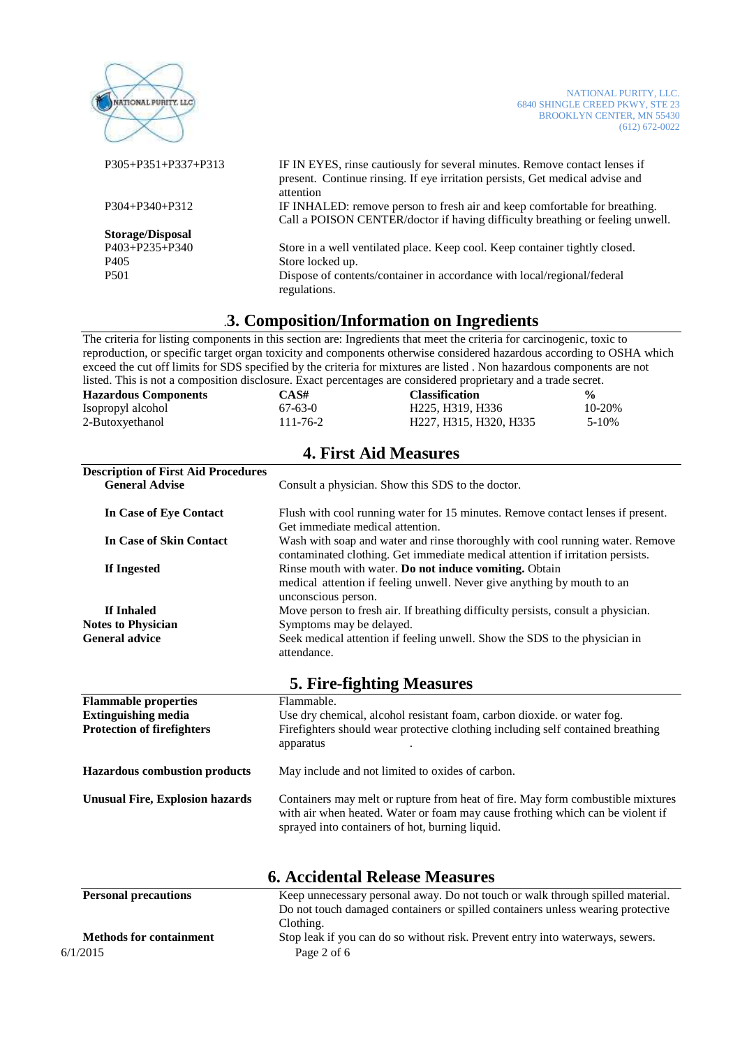| ATIONAL PURITY, LLC         | NATIONAL PURITY, LLC.<br>6840 SHINGLE CREED PKWY, STE 23<br><b>BROOKLYN CENTER, MN 55430</b><br>$(612) 672 - 0022$                                                       |
|-----------------------------|--------------------------------------------------------------------------------------------------------------------------------------------------------------------------|
| $P305 + P351 + P337 + P313$ | IF IN EYES, rinse cautiously for several minutes. Remove contact lenses if<br>present. Continue rinsing. If eye irritation persists, Get medical advise and<br>attention |
| $P304 + P340 + P312$        | IF INHALED: remove person to fresh air and keep comfortable for breathing.<br>Call a POISON CENTER/doctor if having difficulty breathing or feeling unwell.              |
| <b>Storage/Disposal</b>     |                                                                                                                                                                          |
| P403+P235+P340              | Store in a well ventilated place. Keep cool. Keep container tightly closed.                                                                                              |
| P405                        | Store locked up.                                                                                                                                                         |
| P <sub>501</sub>            | Dispose of contents/container in accordance with local/regional/federal<br>regulations.                                                                                  |
|                             |                                                                                                                                                                          |

### .**3. Composition/Information on Ingredients**

The criteria for listing components in this section are: Ingredients that meet the criteria for carcinogenic, toxic to reproduction, or specific target organ toxicity and components otherwise considered hazardous according to OSHA which exceed the cut off limits for SDS specified by the criteria for mixtures are listed . Non hazardous components are not listed. This is not a composition disclosure. Exact percentages are considered proprietary and a trade secret.

**4. First Aid Measures** 

| <b>Hazardous Components</b> | CAS#           | <b>Classification</b>  | $\frac{6}{9}$ |
|-----------------------------|----------------|------------------------|---------------|
| Isopropyl alcohol           | $67-63-0$      | H225, H319, H336       | 10-20%        |
| 2-Butoxyethanol             | $111 - 76 - 2$ | H227, H315, H320, H335 | 5-10%         |

| Consult a physician. Show this SDS to the doctor.                                                                                                               |  |
|-----------------------------------------------------------------------------------------------------------------------------------------------------------------|--|
| Flush with cool running water for 15 minutes. Remove contact lenses if present.<br>Get immediate medical attention.                                             |  |
| Wash with soap and water and rinse thoroughly with cool running water. Remove<br>contaminated clothing. Get immediate medical attention if irritation persists. |  |
| Rinse mouth with water. Do not induce vomiting. Obtain<br>medical attention if feeling unwell. Never give anything by mouth to an<br>unconscious person.        |  |
| Move person to fresh air. If breathing difficulty persists, consult a physician.                                                                                |  |
| Symptoms may be delayed.                                                                                                                                        |  |
| Seek medical attention if feeling unwell. Show the SDS to the physician in<br>attendance.                                                                       |  |
|                                                                                                                                                                 |  |

**5. Fire-fighting Measures** 

| <b>Flammable properties</b>            | Flammable.                                                                                                                                                                                                           |
|----------------------------------------|----------------------------------------------------------------------------------------------------------------------------------------------------------------------------------------------------------------------|
| <b>Extinguishing media</b>             | Use dry chemical, alcohol resistant foam, carbon dioxide. or water fog.                                                                                                                                              |
| <b>Protection of firefighters</b>      | Firefighters should wear protective clothing including self contained breathing<br>apparatus                                                                                                                         |
| <b>Hazardous combustion products</b>   | May include and not limited to oxides of carbon.                                                                                                                                                                     |
| <b>Unusual Fire, Explosion hazards</b> | Containers may melt or rupture from heat of fire. May form combustible mixtures<br>with air when heated. Water or foam may cause frothing which can be violent if<br>sprayed into containers of hot, burning liquid. |

| <b>6. Accidental Release Measures</b> |                                                                                 |  |
|---------------------------------------|---------------------------------------------------------------------------------|--|
| <b>Personal precautions</b>           | Keep unnecessary personal away. Do not touch or walk through spilled material.  |  |
|                                       | Do not touch damaged containers or spilled containers unless wearing protective |  |
|                                       | Clothing.                                                                       |  |
| <b>Methods for containment</b>        | Stop leak if you can do so without risk. Prevent entry into waterways, sewers.  |  |
| 6/1/2015                              | Page 2 of 6                                                                     |  |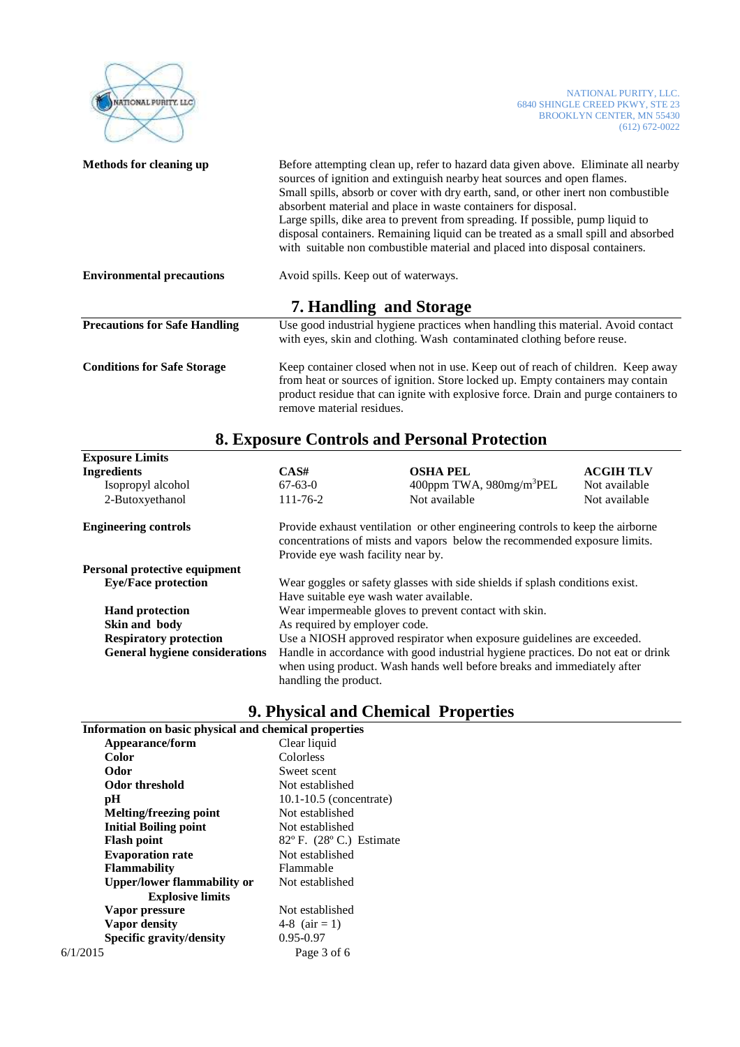| <b>NATIONAL PURITY, LLC</b>          |                                                                                                                                                                                                                                                                                                                                                                                                                                                                                                                                                                              |                                                                                                                                                             | NATIONAL PURITY, LLC.<br>6840 SHINGLE CREED PKWY, STE 23<br><b>BROOKLYN CENTER, MN 55430</b><br>$(612) 672 - 0022$ |
|--------------------------------------|------------------------------------------------------------------------------------------------------------------------------------------------------------------------------------------------------------------------------------------------------------------------------------------------------------------------------------------------------------------------------------------------------------------------------------------------------------------------------------------------------------------------------------------------------------------------------|-------------------------------------------------------------------------------------------------------------------------------------------------------------|--------------------------------------------------------------------------------------------------------------------|
| Methods for cleaning up              | Before attempting clean up, refer to hazard data given above. Eliminate all nearby<br>sources of ignition and extinguish nearby heat sources and open flames.<br>Small spills, absorb or cover with dry earth, sand, or other inert non combustible<br>absorbent material and place in waste containers for disposal.<br>Large spills, dike area to prevent from spreading. If possible, pump liquid to<br>disposal containers. Remaining liquid can be treated as a small spill and absorbed<br>with suitable non combustible material and placed into disposal containers. |                                                                                                                                                             |                                                                                                                    |
| <b>Environmental precautions</b>     | Avoid spills. Keep out of waterways.                                                                                                                                                                                                                                                                                                                                                                                                                                                                                                                                         |                                                                                                                                                             |                                                                                                                    |
|                                      |                                                                                                                                                                                                                                                                                                                                                                                                                                                                                                                                                                              | <b>7. Handling and Storage</b>                                                                                                                              |                                                                                                                    |
| <b>Precautions for Safe Handling</b> |                                                                                                                                                                                                                                                                                                                                                                                                                                                                                                                                                                              | Use good industrial hygiene practices when handling this material. Avoid contact<br>with eyes, skin and clothing. Wash contaminated clothing before reuse.  |                                                                                                                    |
| <b>Conditions for Safe Storage</b>   | Keep container closed when not in use. Keep out of reach of children. Keep away<br>from heat or sources of ignition. Store locked up. Empty containers may contain<br>product residue that can ignite with explosive force. Drain and purge containers to<br>remove material residues.                                                                                                                                                                                                                                                                                       |                                                                                                                                                             |                                                                                                                    |
|                                      |                                                                                                                                                                                                                                                                                                                                                                                                                                                                                                                                                                              | <b>8. Exposure Controls and Personal Protection</b>                                                                                                         |                                                                                                                    |
| <b>Exposure Limits</b>               |                                                                                                                                                                                                                                                                                                                                                                                                                                                                                                                                                                              |                                                                                                                                                             |                                                                                                                    |
| <b>Ingredients</b>                   | CAS#                                                                                                                                                                                                                                                                                                                                                                                                                                                                                                                                                                         | <b>OSHA PEL</b>                                                                                                                                             | <b>ACGIH TLV</b>                                                                                                   |
| Isopropyl alcohol                    | $67 - 63 - 0$                                                                                                                                                                                                                                                                                                                                                                                                                                                                                                                                                                | 400ppm TWA, 980mg/m <sup>3</sup> PEL                                                                                                                        | Not available                                                                                                      |
| 2-Butoxyethanol                      | 111-76-2                                                                                                                                                                                                                                                                                                                                                                                                                                                                                                                                                                     | Not available                                                                                                                                               | Not available                                                                                                      |
| <b>Engineering controls</b>          | Provide eye wash facility near by.                                                                                                                                                                                                                                                                                                                                                                                                                                                                                                                                           | Provide exhaust ventilation or other engineering controls to keep the airborne<br>concentrations of mists and vapors below the recommended exposure limits. |                                                                                                                    |
| Personal protective equipment        |                                                                                                                                                                                                                                                                                                                                                                                                                                                                                                                                                                              |                                                                                                                                                             |                                                                                                                    |
| <b>Eye/Face protection</b>           | Wear goggles or safety glasses with side shields if splash conditions exist.                                                                                                                                                                                                                                                                                                                                                                                                                                                                                                 |                                                                                                                                                             |                                                                                                                    |
|                                      |                                                                                                                                                                                                                                                                                                                                                                                                                                                                                                                                                                              | Have suitable eye wash water available.                                                                                                                     |                                                                                                                    |
| <b>Hand protection</b>               | Wear impermeable gloves to prevent contact with skin.                                                                                                                                                                                                                                                                                                                                                                                                                                                                                                                        |                                                                                                                                                             |                                                                                                                    |
| Skin and body                        | As required by employer code.                                                                                                                                                                                                                                                                                                                                                                                                                                                                                                                                                |                                                                                                                                                             |                                                                                                                    |

**Respiratory protection** Use a NIOSH approved respirator when exposure guidelines are exceeded. **General hygiene considerations** Handle in accordance with good industrial hygiene practices. Do not eat or drink when using product. Wash hands well before breaks and immediately after handling the product.

# **9. Physical and Chemical Properties**

| Information on basic physical and chemical properties |                                             |
|-------------------------------------------------------|---------------------------------------------|
| Appearance/form                                       | Clear liquid                                |
| Color                                                 | Colorless                                   |
| Odor                                                  | Sweet scent                                 |
| <b>Odor threshold</b>                                 | Not established                             |
| рH                                                    | $10.1 - 10.5$ (concentrate)                 |
| Melting/freezing point                                | Not established                             |
| <b>Initial Boiling point</b>                          | Not established                             |
| <b>Flash point</b>                                    | $82^{\circ}$ F. (28 $^{\circ}$ C.) Estimate |
| <b>Evaporation rate</b>                               | Not established                             |
| <b>Flammability</b>                                   | Flammable                                   |
| <b>Upper/lower flammability or</b>                    | Not established                             |
| <b>Explosive limits</b>                               |                                             |
| Vapor pressure                                        | Not established                             |
| <b>Vapor density</b>                                  | 4-8 $(air = 1)$                             |
| Specific gravity/density                              | $0.95 - 0.97$                               |
| 6/1/2015                                              | Page 3 of 6                                 |
|                                                       |                                             |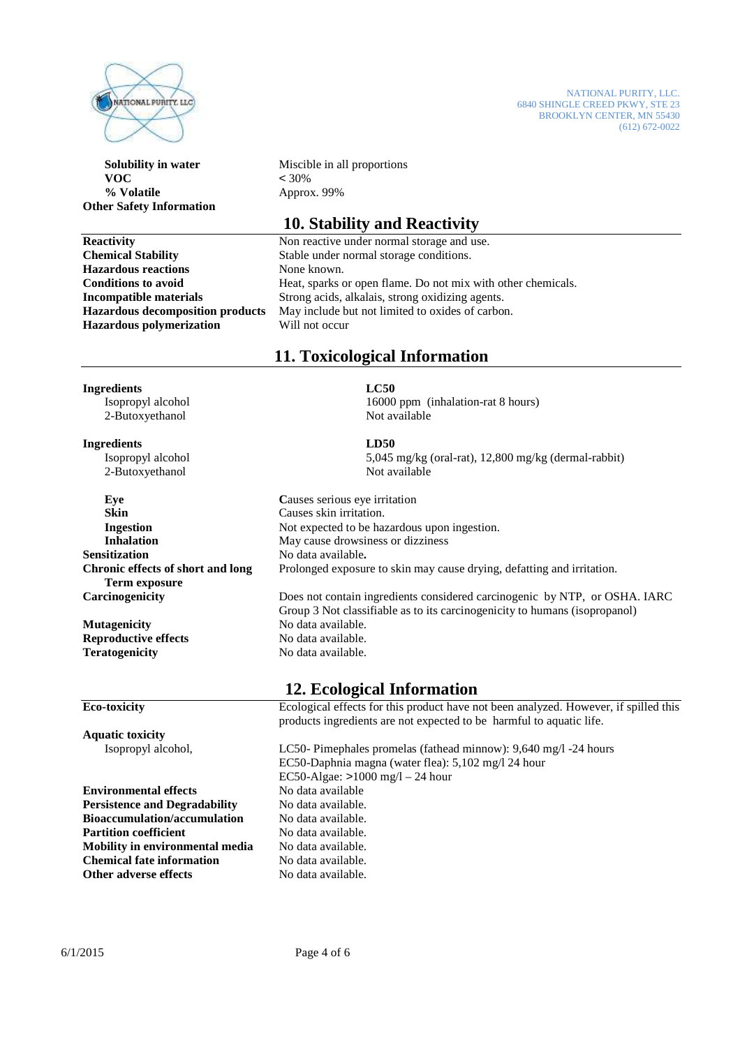

 **VOC** < 30%  **% Volatile** Approx. 99% **Other Safety Information** 

**Hazardous reactions** None known. **Hazardous polymerization** Will not occur

NATIONAL PURITY, LLC. 6840 SHINGLE CREED PKWY, STE 23 BROOKLYN CENTER, MN 55430  $(612) 672-0022$ 

**Solubility in water** Miscible in all proportions

# **10. Stability and Reactivity**

**Reactivity** Non reactive under normal storage and use. **Chemical Stability** Stable under normal storage conditions. **Conditions to avoid Heat, sparks or open flame. Do not mix with other chemicals. Incompatible materials** Strong acids, alkalais, strong oxidizing agents. **Hazardous decomposition products** May include but not limited to oxides of carbon.

# **11. Toxicological Information**

# **Ingredients LC50**

2-Butoxyethanol

**Ingredients LD50** 

2-Butoxyethanol Not available

**Skin Causes skin irritation. Sensitization** No data available.  **Term exposure** 

**Mutagenicity** No data available. **Reproductive effects** No data available. **Teratogenicity** No data available.

Isopropyl alcohol 16000 ppm (inhalation-rat 8 hours)<br>2-Butoxyethanol 16000 ppm (inhalation-rat 8 hours)

Isopropyl alcohol 5,045 mg/kg (oral-rat), 12,800 mg/kg (dermal-rabbit)

**Eye** Causes serious eve irritation **Ingestion** Not expected to be hazardous upon ingestion. **Inhalation May cause drowsiness or dizziness Chronic effects of short and long** Prolonged exposure to skin may cause drying, defatting and irritation. **Carcinogenicity** Does not contain ingredients considered carcinogenic by NTP, or OSHA. IARC

Group 3 Not classifiable as to its carcinogenicity to humans (isopropanol)

# **12. Ecological Information**

**Eco-toxicity** Ecological effects for this product have not been analyzed. However, if spilled this products ingredients are not expected to be harmful to aquatic life.

Isopropyl alcohol, LC50- Pimephales promelas (fathead minnow): 9,640 mg/l -24 hours EC50-Daphnia magna (water flea): 5,102 mg/l 24 hour EC50-Algae: >1000 mg/l – 24 hour

**Aquatic toxicity** 

**Environmental effects Persistence and Degradability** No data available. **Bioaccumulation/accumulation** No data available. **Partition coefficient No data available. Mobility in environmental media** No data available. **Chemical fate information** No data available. **Other adverse effects** No data available.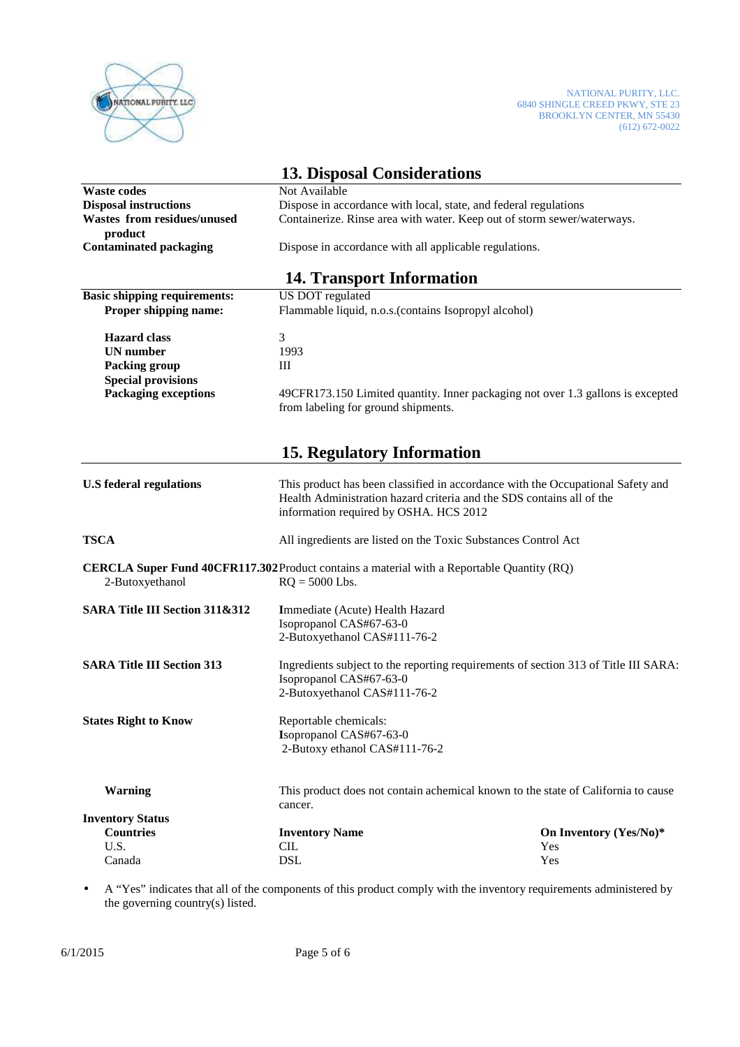

|                                                                                            | <b>13. Disposal Considerations</b>                                                                                                                                                                 |                                                                                 |  |
|--------------------------------------------------------------------------------------------|----------------------------------------------------------------------------------------------------------------------------------------------------------------------------------------------------|---------------------------------------------------------------------------------|--|
| <b>Waste codes</b>                                                                         | Not Available                                                                                                                                                                                      |                                                                                 |  |
| <b>Disposal instructions</b>                                                               | Dispose in accordance with local, state, and federal regulations                                                                                                                                   |                                                                                 |  |
| <b>Wastes from residues/unused</b><br>product                                              | Containerize. Rinse area with water. Keep out of storm sewer/waterways.                                                                                                                            |                                                                                 |  |
| <b>Contaminated packaging</b>                                                              | Dispose in accordance with all applicable regulations.                                                                                                                                             |                                                                                 |  |
|                                                                                            | <b>14. Transport Information</b>                                                                                                                                                                   |                                                                                 |  |
| <b>Basic shipping requirements:</b>                                                        | US DOT regulated                                                                                                                                                                                   |                                                                                 |  |
| Proper shipping name:                                                                      | Flammable liquid, n.o.s.(contains Isopropyl alcohol)                                                                                                                                               |                                                                                 |  |
| <b>Hazard class</b>                                                                        | 3                                                                                                                                                                                                  |                                                                                 |  |
| <b>UN</b> number                                                                           | 1993                                                                                                                                                                                               |                                                                                 |  |
| <b>Packing group</b>                                                                       | Ш                                                                                                                                                                                                  |                                                                                 |  |
| <b>Special provisions</b>                                                                  |                                                                                                                                                                                                    |                                                                                 |  |
| Packaging exceptions                                                                       | from labeling for ground shipments.                                                                                                                                                                | 49CFR173.150 Limited quantity. Inner packaging not over 1.3 gallons is excepted |  |
|                                                                                            | <b>15. Regulatory Information</b>                                                                                                                                                                  |                                                                                 |  |
| <b>U.S</b> federal regulations                                                             | This product has been classified in accordance with the Occupational Safety and<br>Health Administration hazard criteria and the SDS contains all of the<br>information required by OSHA. HCS 2012 |                                                                                 |  |
| <b>TSCA</b>                                                                                | All ingredients are listed on the Toxic Substances Control Act                                                                                                                                     |                                                                                 |  |
| CERCLA Super Fund 40CFR117.302 Product contains a material with a Reportable Quantity (RQ) |                                                                                                                                                                                                    |                                                                                 |  |
| 2-Butoxyethanol                                                                            | $RQ = 5000$ Lbs.                                                                                                                                                                                   |                                                                                 |  |
| SARA Title III Section 311&312                                                             | Immediate (Acute) Health Hazard                                                                                                                                                                    |                                                                                 |  |
|                                                                                            | Isopropanol CAS#67-63-0                                                                                                                                                                            |                                                                                 |  |
|                                                                                            | 2-Butoxyethanol CAS#111-76-2                                                                                                                                                                       |                                                                                 |  |
| <b>SARA Title III Section 313</b>                                                          | Ingredients subject to the reporting requirements of section 313 of Title III SARA:<br>Isopropanol CAS#67-63-0<br>2-Butoxyethanol CAS#111-76-2                                                     |                                                                                 |  |
| <b>States Right to Know</b>                                                                | Reportable chemicals:<br>Isopropanol CAS#67-63-0<br>2-Butoxy ethanol CAS#111-76-2                                                                                                                  |                                                                                 |  |
| <b>Warning</b>                                                                             | This product does not contain achemical known to the state of California to cause<br>cancer.                                                                                                       |                                                                                 |  |
| <b>Inventory Status</b>                                                                    |                                                                                                                                                                                                    |                                                                                 |  |
| <b>Countries</b>                                                                           | <b>Inventory Name</b>                                                                                                                                                                              | On Inventory (Yes/No)*                                                          |  |
| U.S.                                                                                       | <b>CIL</b>                                                                                                                                                                                         | Yes                                                                             |  |
| Canada                                                                                     | <b>DSL</b>                                                                                                                                                                                         | Yes                                                                             |  |

• A "Yes" indicates that all of the components of this product comply with the inventory requirements administered by the governing country(s) listed.